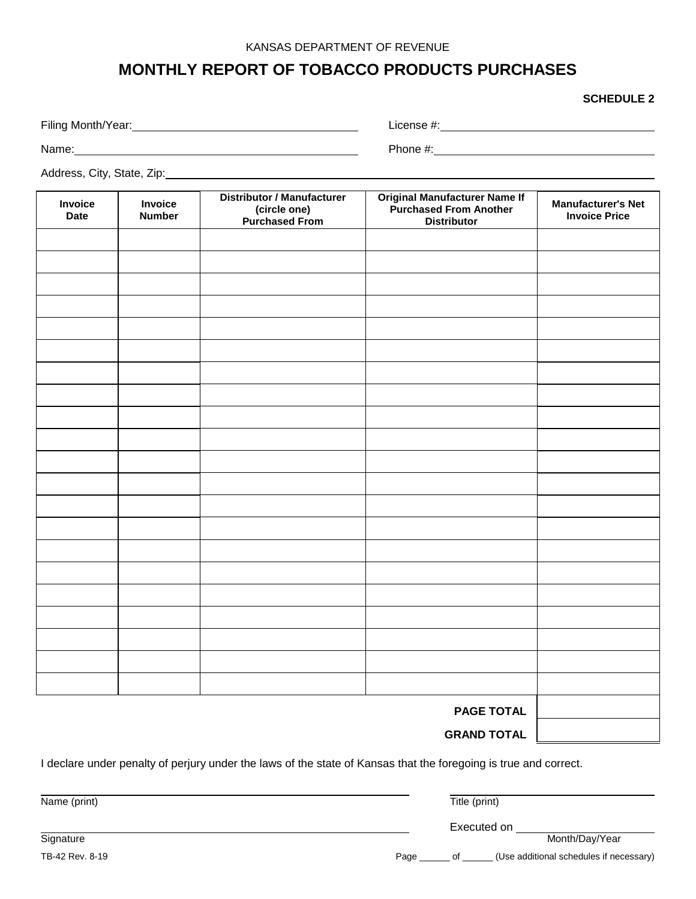## **MONTHLY REPORT OF TOBACCO PRODUCTS PURCHASES**

**SCHEDULE 2**

| Filing Month/Year: | License #: |
|--------------------|------------|
| Name:              | Phone #:   |

Address, City, State, Zip:

| Invoice<br><b>Date</b> | Invoice<br><b>Number</b> | <b>Distributor / Manufacturer</b><br>(circle one)<br><b>Purchased From</b> | <b>Original Manufacturer Name If<br/>Purchased From Another</b><br><b>Distributor</b> | <b>Manufacturer's Net</b><br><b>Invoice Price</b> |
|------------------------|--------------------------|----------------------------------------------------------------------------|---------------------------------------------------------------------------------------|---------------------------------------------------|
|                        |                          |                                                                            |                                                                                       |                                                   |
|                        |                          |                                                                            |                                                                                       |                                                   |
|                        |                          |                                                                            |                                                                                       |                                                   |
|                        |                          |                                                                            |                                                                                       |                                                   |
|                        |                          |                                                                            |                                                                                       |                                                   |
|                        |                          |                                                                            |                                                                                       |                                                   |
|                        |                          |                                                                            |                                                                                       |                                                   |
|                        |                          |                                                                            |                                                                                       |                                                   |
|                        |                          |                                                                            |                                                                                       |                                                   |
|                        |                          |                                                                            |                                                                                       |                                                   |
|                        |                          |                                                                            |                                                                                       |                                                   |
|                        |                          |                                                                            |                                                                                       |                                                   |
|                        |                          |                                                                            |                                                                                       |                                                   |
|                        |                          |                                                                            |                                                                                       |                                                   |
|                        |                          |                                                                            |                                                                                       |                                                   |
|                        |                          |                                                                            |                                                                                       |                                                   |
|                        |                          |                                                                            |                                                                                       |                                                   |
|                        |                          |                                                                            |                                                                                       |                                                   |
|                        |                          |                                                                            |                                                                                       |                                                   |
|                        |                          |                                                                            |                                                                                       |                                                   |
|                        |                          |                                                                            |                                                                                       |                                                   |
| <b>PAGE TOTAL</b>      |                          |                                                                            |                                                                                       |                                                   |
|                        |                          |                                                                            | <b>GRAND TOTAL</b>                                                                    |                                                   |

I declare under penalty of perjury under the laws of the state of Kansas that the foregoing is true and correct.

Name (print) Title (print) **Signature** Executed on Month/Day/Year TB-42 Rev. 8-19 **Page 19 Accord Page 20 Accord Page 20 Accord Page 20 Accord Page 20 Accord Page 20 Accord Page 20 Accord Page 20 Accord Page 20 Accord Page 20 Accord Page 20 Accord Page 20 Accord Page 20 Accord Page 20 Ac**